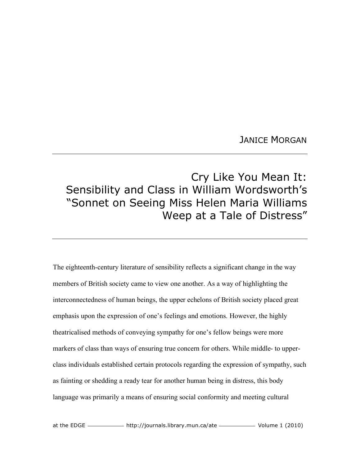## JANICE MORGAN

## Cry Like You Mean It: Sensibility and Class in William Wordsworth's "Sonnet on Seeing Miss Helen Maria Williams Weep at a Tale of Distress"

The eighteenth-century literature of sensibility reflects a significant change in the way members of British society came to view one another. As a way of highlighting the interconnectedness of human beings, the upper echelons of British society placed great emphasis upon the expression of one's feelings and emotions. However, the highly theatricalised methods of conveying sympathy for one's fellow beings were more markers of class than ways of ensuring true concern for others. While middle- to upperclass individuals established certain protocols regarding the expression of sympathy, such as fainting or shedding a ready tear for another human being in distress, this body language was primarily a means of ensuring social conformity and meeting cultural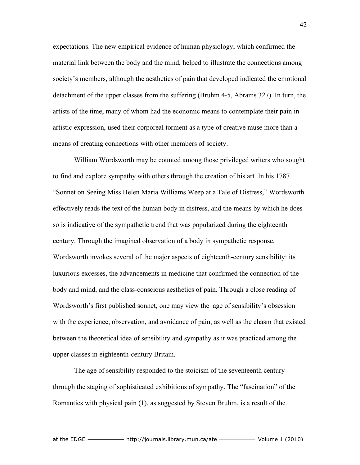expectations. The new empirical evidence of human physiology, which confirmed the material link between the body and the mind, helped to illustrate the connections among society's members, although the aesthetics of pain that developed indicated the emotional detachment of the upper classes from the suffering (Bruhm 4-5, Abrams 327). In turn, the artists of the time, many of whom had the economic means to contemplate their pain in artistic expression, used their corporeal torment as a type of creative muse more than a means of creating connections with other members of society.

William Wordsworth may be counted among those privileged writers who sought to find and explore sympathy with others through the creation of his art. In his 1787 "Sonnet on Seeing Miss Helen Maria Williams Weep at a Tale of Distress," Wordsworth effectively reads the text of the human body in distress, and the means by which he does so is indicative of the sympathetic trend that was popularized during the eighteenth century. Through the imagined observation of a body in sympathetic response, Wordsworth invokes several of the major aspects of eighteenth-century sensibility: its luxurious excesses, the advancements in medicine that confirmed the connection of the body and mind, and the class-conscious aesthetics of pain. Through a close reading of Wordsworth's first published sonnet, one may view the age of sensibility's obsession with the experience, observation, and avoidance of pain, as well as the chasm that existed between the theoretical idea of sensibility and sympathy as it was practiced among the upper classes in eighteenth-century Britain.

The age of sensibility responded to the stoicism of the seventeenth century through the staging of sophisticated exhibitions of sympathy. The "fascination" of the Romantics with physical pain (1), as suggested by Steven Bruhm, is a result of the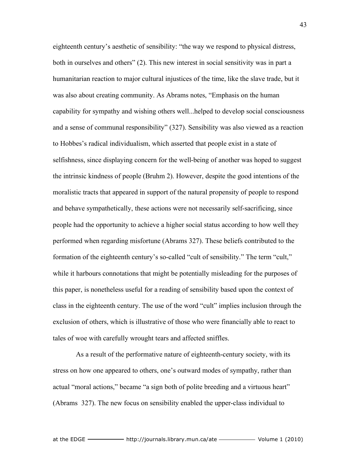eighteenth century's aesthetic of sensibility: "the way we respond to physical distress, both in ourselves and others" (2). This new interest in social sensitivity was in part a humanitarian reaction to major cultural injustices of the time, like the slave trade, but it was also about creating community. As Abrams notes, "Emphasis on the human capability for sympathy and wishing others well...helped to develop social consciousness and a sense of communal responsibility" (327). Sensibility was also viewed as a reaction to Hobbes's radical individualism, which asserted that people exist in a state of selfishness, since displaying concern for the well-being of another was hoped to suggest the intrinsic kindness of people (Bruhm 2). However, despite the good intentions of the moralistic tracts that appeared in support of the natural propensity of people to respond and behave sympathetically, these actions were not necessarily self-sacrificing, since people had the opportunity to achieve a higher social status according to how well they performed when regarding misfortune (Abrams 327). These beliefs contributed to the formation of the eighteenth century's so-called "cult of sensibility." The term "cult," while it harbours connotations that might be potentially misleading for the purposes of this paper, is nonetheless useful for a reading of sensibility based upon the context of class in the eighteenth century. The use of the word "cult" implies inclusion through the exclusion of others, which is illustrative of those who were financially able to react to tales of woe with carefully wrought tears and affected sniffles.

 As a result of the performative nature of eighteenth-century society, with its stress on how one appeared to others, one's outward modes of sympathy, rather than actual "moral actions," became "a sign both of polite breeding and a virtuous heart" (Abrams 327). The new focus on sensibility enabled the upper-class individual to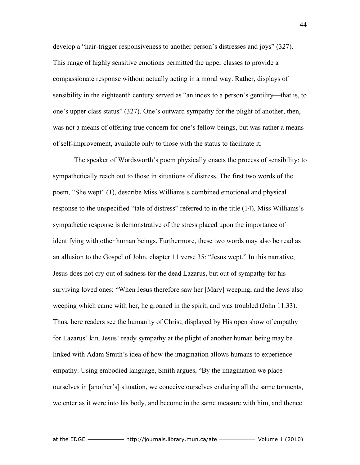develop a "hair-trigger responsiveness to another person's distresses and joys" (327). This range of highly sensitive emotions permitted the upper classes to provide a compassionate response without actually acting in a moral way. Rather, displays of sensibility in the eighteenth century served as "an index to a person's gentility—that is, to one's upper class status" (327). One's outward sympathy for the plight of another, then, was not a means of offering true concern for one's fellow beings, but was rather a means of self-improvement, available only to those with the status to facilitate it.

The speaker of Wordsworth's poem physically enacts the process of sensibility: to sympathetically reach out to those in situations of distress. The first two words of the poem, "She wept" (1), describe Miss Williams's combined emotional and physical response to the unspecified "tale of distress" referred to in the title (14). Miss Williams's sympathetic response is demonstrative of the stress placed upon the importance of identifying with other human beings. Furthermore, these two words may also be read as an allusion to the Gospel of John, chapter 11 verse 35: "Jesus wept." In this narrative, Jesus does not cry out of sadness for the dead Lazarus, but out of sympathy for his surviving loved ones: "When Jesus therefore saw her [Mary] weeping, and the Jews also weeping which came with her, he groaned in the spirit, and was troubled (John 11.33). Thus, here readers see the humanity of Christ, displayed by His open show of empathy for Lazarus' kin. Jesus' ready sympathy at the plight of another human being may be linked with Adam Smith's idea of how the imagination allows humans to experience empathy. Using embodied language, Smith argues, "By the imagination we place ourselves in [another's] situation, we conceive ourselves enduring all the same torments, we enter as it were into his body, and become in the same measure with him, and thence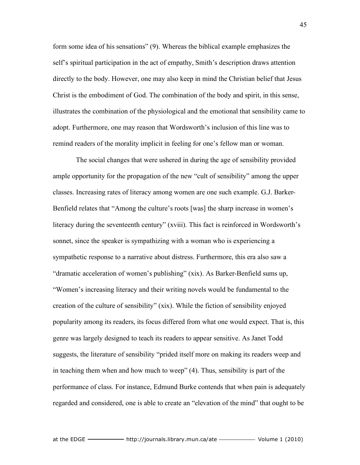form some idea of his sensations" (9). Whereas the biblical example emphasizes the self's spiritual participation in the act of empathy, Smith's description draws attention directly to the body. However, one may also keep in mind the Christian belief that Jesus Christ is the embodiment of God. The combination of the body and spirit, in this sense, illustrates the combination of the physiological and the emotional that sensibility came to adopt. Furthermore, one may reason that Wordsworth's inclusion of this line was to remind readers of the morality implicit in feeling for one's fellow man or woman.

 The social changes that were ushered in during the age of sensibility provided ample opportunity for the propagation of the new "cult of sensibility" among the upper classes. Increasing rates of literacy among women are one such example. G.J. Barker-Benfield relates that "Among the culture's roots [was] the sharp increase in women's literacy during the seventeenth century" (xviii). This fact is reinforced in Wordsworth's sonnet, since the speaker is sympathizing with a woman who is experiencing a sympathetic response to a narrative about distress. Furthermore, this era also saw a "dramatic acceleration of women's publishing" (xix). As Barker-Benfield sums up, "Women's increasing literacy and their writing novels would be fundamental to the creation of the culture of sensibility" (xix). While the fiction of sensibility enjoyed popularity among its readers, its focus differed from what one would expect. That is, this genre was largely designed to teach its readers to appear sensitive. As Janet Todd suggests, the literature of sensibility "prided itself more on making its readers weep and in teaching them when and how much to weep" (4). Thus, sensibility is part of the performance of class. For instance, Edmund Burke contends that when pain is adequately regarded and considered, one is able to create an "elevation of the mind" that ought to be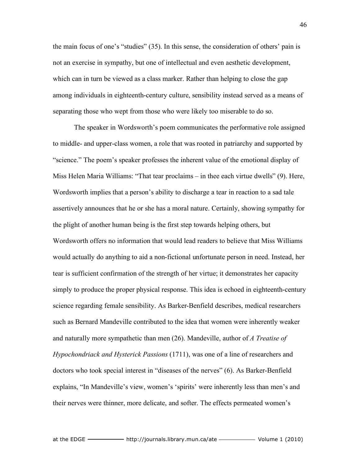the main focus of one's "studies" (35). In this sense, the consideration of others' pain is not an exercise in sympathy, but one of intellectual and even aesthetic development, which can in turn be viewed as a class marker. Rather than helping to close the gap among individuals in eighteenth-century culture, sensibility instead served as a means of separating those who wept from those who were likely too miserable to do so.

The speaker in Wordsworth's poem communicates the performative role assigned to middle- and upper-class women, a role that was rooted in patriarchy and supported by "science." The poem's speaker professes the inherent value of the emotional display of Miss Helen Maria Williams: "That tear proclaims – in thee each virtue dwells" (9). Here, Wordsworth implies that a person's ability to discharge a tear in reaction to a sad tale assertively announces that he or she has a moral nature. Certainly, showing sympathy for the plight of another human being is the first step towards helping others, but Wordsworth offers no information that would lead readers to believe that Miss Williams would actually do anything to aid a non-fictional unfortunate person in need. Instead, her tear is sufficient confirmation of the strength of her virtue; it demonstrates her capacity simply to produce the proper physical response. This idea is echoed in eighteenth-century science regarding female sensibility. As Barker-Benfield describes, medical researchers such as Bernard Mandeville contributed to the idea that women were inherently weaker and naturally more sympathetic than men (26). Mandeville, author of *A Treatise of Hypochondriack and Hysterick Passions* (1711), was one of a line of researchers and doctors who took special interest in "diseases of the nerves" (6). As Barker-Benfield explains, "In Mandeville's view, women's 'spirits' were inherently less than men's and their nerves were thinner, more delicate, and softer. The effects permeated women's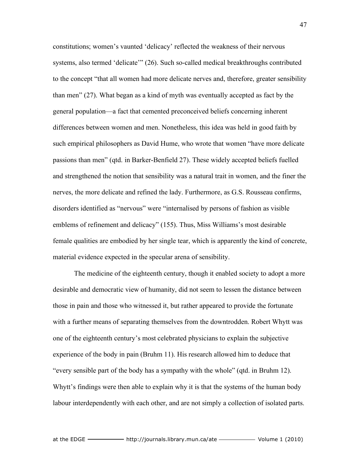constitutions; women's vaunted 'delicacy' reflected the weakness of their nervous systems, also termed 'delicate'" (26). Such so-called medical breakthroughs contributed to the concept "that all women had more delicate nerves and, therefore, greater sensibility than men" (27). What began as a kind of myth was eventually accepted as fact by the general population—a fact that cemented preconceived beliefs concerning inherent differences between women and men. Nonetheless, this idea was held in good faith by such empirical philosophers as David Hume, who wrote that women "have more delicate passions than men" (qtd. in Barker-Benfield 27). These widely accepted beliefs fuelled and strengthened the notion that sensibility was a natural trait in women, and the finer the nerves, the more delicate and refined the lady. Furthermore, as G.S. Rousseau confirms, disorders identified as "nervous" were "internalised by persons of fashion as visible emblems of refinement and delicacy" (155). Thus, Miss Williams's most desirable female qualities are embodied by her single tear, which is apparently the kind of concrete, material evidence expected in the specular arena of sensibility.

The medicine of the eighteenth century, though it enabled society to adopt a more desirable and democratic view of humanity, did not seem to lessen the distance between those in pain and those who witnessed it, but rather appeared to provide the fortunate with a further means of separating themselves from the downtrodden. Robert Whytt was one of the eighteenth century's most celebrated physicians to explain the subjective experience of the body in pain (Bruhm 11). His research allowed him to deduce that "every sensible part of the body has a sympathy with the whole" (qtd. in Bruhm 12). Whytt's findings were then able to explain why it is that the systems of the human body labour interdependently with each other, and are not simply a collection of isolated parts.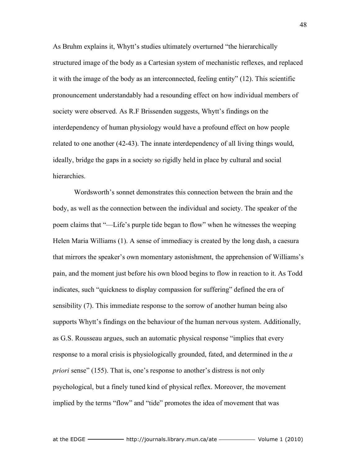As Bruhm explains it, Whytt's studies ultimately overturned "the hierarchically structured image of the body as a Cartesian system of mechanistic reflexes, and replaced it with the image of the body as an interconnected, feeling entity" (12). This scientific pronouncement understandably had a resounding effect on how individual members of society were observed. As R.F Brissenden suggests, Whytt's findings on the interdependency of human physiology would have a profound effect on how people related to one another (42-43). The innate interdependency of all living things would, ideally, bridge the gaps in a society so rigidly held in place by cultural and social hierarchies.

Wordsworth's sonnet demonstrates this connection between the brain and the body, as well as the connection between the individual and society. The speaker of the poem claims that "—Life's purple tide began to flow" when he witnesses the weeping Helen Maria Williams (1). A sense of immediacy is created by the long dash, a caesura that mirrors the speaker's own momentary astonishment, the apprehension of Williams's pain, and the moment just before his own blood begins to flow in reaction to it. As Todd indicates, such "quickness to display compassion for suffering" defined the era of sensibility (7). This immediate response to the sorrow of another human being also supports Whytt's findings on the behaviour of the human nervous system. Additionally, as G.S. Rousseau argues, such an automatic physical response "implies that every response to a moral crisis is physiologically grounded, fated, and determined in the *a priori* sense" (155). That is, one's response to another's distress is not only psychological, but a finely tuned kind of physical reflex. Moreover, the movement implied by the terms "flow" and "tide" promotes the idea of movement that was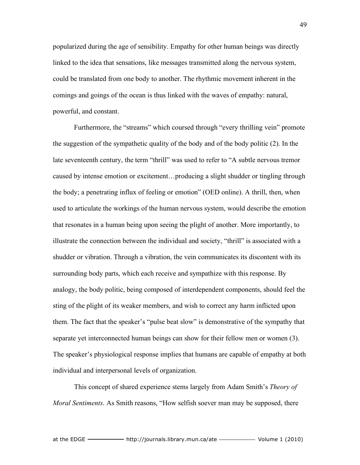popularized during the age of sensibility. Empathy for other human beings was directly linked to the idea that sensations, like messages transmitted along the nervous system, could be translated from one body to another. The rhythmic movement inherent in the comings and goings of the ocean is thus linked with the waves of empathy: natural, powerful, and constant.

Furthermore, the "streams" which coursed through "every thrilling vein" promote the suggestion of the sympathetic quality of the body and of the body politic (2). In the late seventeenth century, the term "thrill" was used to refer to "A subtle nervous tremor caused by intense emotion or excitement…producing a slight shudder or tingling through the body; a penetrating influx of feeling or emotion" (OED online). A thrill, then, when used to articulate the workings of the human nervous system, would describe the emotion that resonates in a human being upon seeing the plight of another. More importantly, to illustrate the connection between the individual and society, "thrill" is associated with a shudder or vibration. Through a vibration, the vein communicates its discontent with its surrounding body parts, which each receive and sympathize with this response. By analogy, the body politic, being composed of interdependent components, should feel the sting of the plight of its weaker members, and wish to correct any harm inflicted upon them. The fact that the speaker's "pulse beat slow" is demonstrative of the sympathy that separate yet interconnected human beings can show for their fellow men or women (3). The speaker's physiological response implies that humans are capable of empathy at both individual and interpersonal levels of organization.

This concept of shared experience stems largely from Adam Smith's *Theory of Moral Sentiments*. As Smith reasons, "How selfish soever man may be supposed, there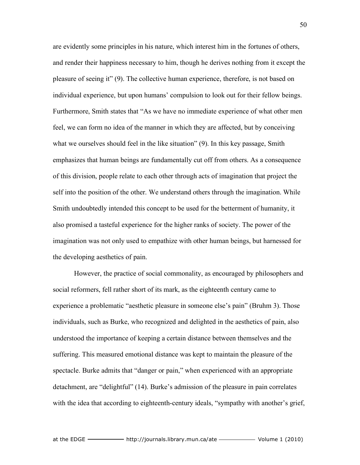are evidently some principles in his nature, which interest him in the fortunes of others, and render their happiness necessary to him, though he derives nothing from it except the pleasure of seeing it" (9). The collective human experience, therefore, is not based on individual experience, but upon humans' compulsion to look out for their fellow beings. Furthermore, Smith states that "As we have no immediate experience of what other men feel, we can form no idea of the manner in which they are affected, but by conceiving what we ourselves should feel in the like situation" (9). In this key passage, Smith emphasizes that human beings are fundamentally cut off from others. As a consequence of this division, people relate to each other through acts of imagination that project the self into the position of the other. We understand others through the imagination. While Smith undoubtedly intended this concept to be used for the betterment of humanity, it also promised a tasteful experience for the higher ranks of society. The power of the imagination was not only used to empathize with other human beings, but harnessed for the developing aesthetics of pain.

However, the practice of social commonality, as encouraged by philosophers and social reformers, fell rather short of its mark, as the eighteenth century came to experience a problematic "aesthetic pleasure in someone else's pain" (Bruhm 3). Those individuals, such as Burke, who recognized and delighted in the aesthetics of pain, also understood the importance of keeping a certain distance between themselves and the suffering. This measured emotional distance was kept to maintain the pleasure of the spectacle. Burke admits that "danger or pain," when experienced with an appropriate detachment, are "delightful" (14). Burke's admission of the pleasure in pain correlates with the idea that according to eighteenth-century ideals, "sympathy with another's grief,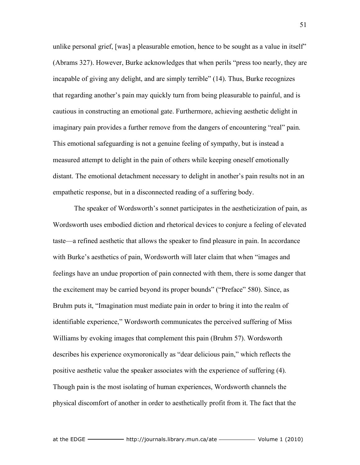unlike personal grief, [was] a pleasurable emotion, hence to be sought as a value in itself" (Abrams 327). However, Burke acknowledges that when perils "press too nearly, they are incapable of giving any delight, and are simply terrible" (14). Thus, Burke recognizes that regarding another's pain may quickly turn from being pleasurable to painful, and is cautious in constructing an emotional gate. Furthermore, achieving aesthetic delight in imaginary pain provides a further remove from the dangers of encountering "real" pain. This emotional safeguarding is not a genuine feeling of sympathy, but is instead a measured attempt to delight in the pain of others while keeping oneself emotionally distant. The emotional detachment necessary to delight in another's pain results not in an empathetic response, but in a disconnected reading of a suffering body.

The speaker of Wordsworth's sonnet participates in the aestheticization of pain, as Wordsworth uses embodied diction and rhetorical devices to conjure a feeling of elevated taste—a refined aesthetic that allows the speaker to find pleasure in pain. In accordance with Burke's aesthetics of pain, Wordsworth will later claim that when "images and feelings have an undue proportion of pain connected with them, there is some danger that the excitement may be carried beyond its proper bounds" ("Preface" 580). Since, as Bruhm puts it, "Imagination must mediate pain in order to bring it into the realm of identifiable experience," Wordsworth communicates the perceived suffering of Miss Williams by evoking images that complement this pain (Bruhm 57). Wordsworth describes his experience oxymoronically as "dear delicious pain," which reflects the positive aesthetic value the speaker associates with the experience of suffering (4). Though pain is the most isolating of human experiences, Wordsworth channels the physical discomfort of another in order to aesthetically profit from it. The fact that the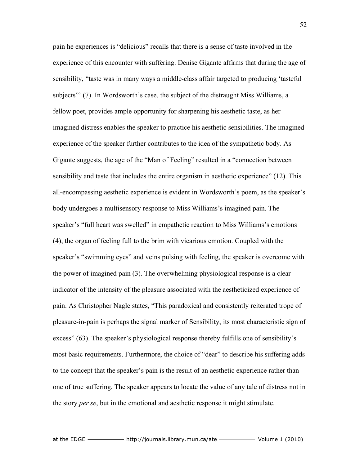pain he experiences is "delicious" recalls that there is a sense of taste involved in the experience of this encounter with suffering. Denise Gigante affirms that during the age of sensibility, "taste was in many ways a middle-class affair targeted to producing 'tasteful subjects"' (7). In Wordsworth's case, the subject of the distraught Miss Williams, a fellow poet, provides ample opportunity for sharpening his aesthetic taste, as her imagined distress enables the speaker to practice his aesthetic sensibilities. The imagined experience of the speaker further contributes to the idea of the sympathetic body. As Gigante suggests, the age of the "Man of Feeling" resulted in a "connection between sensibility and taste that includes the entire organism in aesthetic experience" (12). This all-encompassing aesthetic experience is evident in Wordsworth's poem, as the speaker's body undergoes a multisensory response to Miss Williams's imagined pain. The speaker's "full heart was swelled" in empathetic reaction to Miss Williams's emotions (4), the organ of feeling full to the brim with vicarious emotion. Coupled with the speaker's "swimming eyes" and veins pulsing with feeling, the speaker is overcome with the power of imagined pain (3). The overwhelming physiological response is a clear indicator of the intensity of the pleasure associated with the aestheticized experience of pain. As Christopher Nagle states, "This paradoxical and consistently reiterated trope of pleasure-in-pain is perhaps the signal marker of Sensibility, its most characteristic sign of excess" (63). The speaker's physiological response thereby fulfills one of sensibility's most basic requirements. Furthermore, the choice of "dear" to describe his suffering adds to the concept that the speaker's pain is the result of an aesthetic experience rather than one of true suffering. The speaker appears to locate the value of any tale of distress not in the story *per se*, but in the emotional and aesthetic response it might stimulate.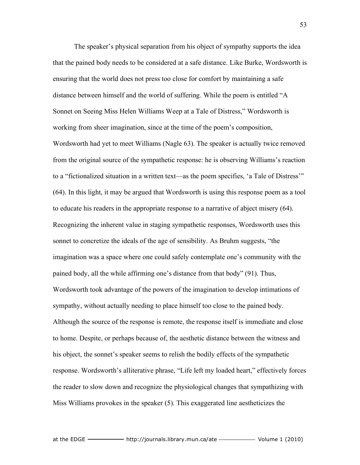The speaker's physical separation from his object of sympathy supports the idea that the pained body needs to be considered at a safe distance. Like Burke, Wordsworth is ensuring that the world does not press too close for comfort by maintaining a safe distance between himself and the world of suffering. While the poem is entitled "A Sonnet on Seeing Miss Helen Williams Weep at a Tale of Distress," Wordsworth is working from sheer imagination, since at the time of the poem's composition, Wordsworth had yet to meet Williams (Nagle 63). The speaker is actually twice removed from the original source of the sympathetic response: he is observing Williams's reaction to a "fictionalized situation in a written text—as the poem specifies, 'a Tale of Distress'" (64). In this light, it may be argued that Wordsworth is using this response poem as a tool to educate his readers in the appropriate response to a narrative of abject misery (64). Recognizing the inherent value in staging sympathetic responses, Wordsworth uses this sonnet to concretize the ideals of the age of sensibility. As Bruhm suggests, "the imagination was a space where one could safely contemplate one's community with the pained body, all the while affirming one's distance from that body" (91). Thus, Wordsworth took advantage of the powers of the imagination to develop intimations of sympathy, without actually needing to place himself too close to the pained body. Although the source of the response is remote, the response itself is immediate and close to home. Despite, or perhaps because of, the aesthetic distance between the witness and his object, the sonnet's speaker seems to relish the bodily effects of the sympathetic response. Wordsworth's alliterative phrase, "Life left my loaded heart," effectively forces the reader to slow down and recognize the physiological changes that sympathizing with Miss Williams provokes in the speaker (5). This exaggerated line aestheticizes the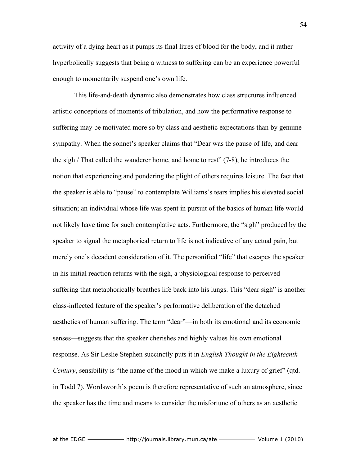activity of a dying heart as it pumps its final litres of blood for the body, and it rather hyperbolically suggests that being a witness to suffering can be an experience powerful enough to momentarily suspend one's own life.

This life-and-death dynamic also demonstrates how class structures influenced artistic conceptions of moments of tribulation, and how the performative response to suffering may be motivated more so by class and aesthetic expectations than by genuine sympathy. When the sonnet's speaker claims that "Dear was the pause of life, and dear the sigh / That called the wanderer home, and home to rest" (7-8), he introduces the notion that experiencing and pondering the plight of others requires leisure. The fact that the speaker is able to "pause" to contemplate Williams's tears implies his elevated social situation; an individual whose life was spent in pursuit of the basics of human life would not likely have time for such contemplative acts. Furthermore, the "sigh" produced by the speaker to signal the metaphorical return to life is not indicative of any actual pain, but merely one's decadent consideration of it. The personified "life" that escapes the speaker in his initial reaction returns with the sigh, a physiological response to perceived suffering that metaphorically breathes life back into his lungs. This "dear sigh" is another class-inflected feature of the speaker's performative deliberation of the detached aesthetics of human suffering. The term "dear"—in both its emotional and its economic senses—suggests that the speaker cherishes and highly values his own emotional response. As Sir Leslie Stephen succinctly puts it in *English Thought in the Eighteenth Century*, sensibility is "the name of the mood in which we make a luxury of grief" (qtd. in Todd 7). Wordsworth's poem is therefore representative of such an atmosphere, since the speaker has the time and means to consider the misfortune of others as an aesthetic

54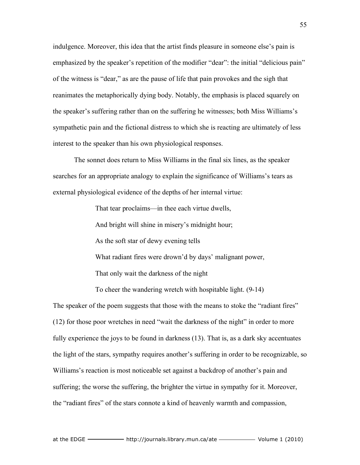indulgence. Moreover, this idea that the artist finds pleasure in someone else's pain is emphasized by the speaker's repetition of the modifier "dear": the initial "delicious pain" of the witness is "dear," as are the pause of life that pain provokes and the sigh that reanimates the metaphorically dying body. Notably, the emphasis is placed squarely on the speaker's suffering rather than on the suffering he witnesses; both Miss Williams's sympathetic pain and the fictional distress to which she is reacting are ultimately of less interest to the speaker than his own physiological responses.

The sonnet does return to Miss Williams in the final six lines, as the speaker searches for an appropriate analogy to explain the significance of Williams's tears as external physiological evidence of the depths of her internal virtue:

That tear proclaims—in thee each virtue dwells,

And bright will shine in misery's midnight hour;

As the soft star of dewy evening tells

What radiant fires were drown'd by days' malignant power,

That only wait the darkness of the night

To cheer the wandering wretch with hospitable light. (9-14)

The speaker of the poem suggests that those with the means to stoke the "radiant fires" (12) for those poor wretches in need "wait the darkness of the night" in order to more fully experience the joys to be found in darkness (13). That is, as a dark sky accentuates the light of the stars, sympathy requires another's suffering in order to be recognizable, so Williams's reaction is most noticeable set against a backdrop of another's pain and suffering; the worse the suffering, the brighter the virtue in sympathy for it. Moreover, the "radiant fires" of the stars connote a kind of heavenly warmth and compassion,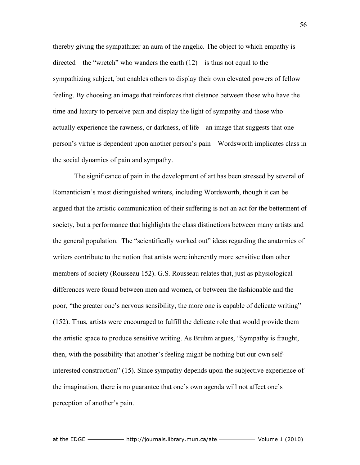thereby giving the sympathizer an aura of the angelic. The object to which empathy is directed—the "wretch" who wanders the earth (12)—is thus not equal to the sympathizing subject, but enables others to display their own elevated powers of fellow feeling. By choosing an image that reinforces that distance between those who have the time and luxury to perceive pain and display the light of sympathy and those who actually experience the rawness, or darkness, of life—an image that suggests that one person's virtue is dependent upon another person's pain—Wordsworth implicates class in the social dynamics of pain and sympathy.

The significance of pain in the development of art has been stressed by several of Romanticism's most distinguished writers, including Wordsworth, though it can be argued that the artistic communication of their suffering is not an act for the betterment of society, but a performance that highlights the class distinctions between many artists and the general population. The "scientifically worked out" ideas regarding the anatomies of writers contribute to the notion that artists were inherently more sensitive than other members of society (Rousseau 152). G.S. Rousseau relates that, just as physiological differences were found between men and women, or between the fashionable and the poor, "the greater one's nervous sensibility, the more one is capable of delicate writing" (152). Thus, artists were encouraged to fulfill the delicate role that would provide them the artistic space to produce sensitive writing. As Bruhm argues, "Sympathy is fraught, then, with the possibility that another's feeling might be nothing but our own selfinterested construction" (15). Since sympathy depends upon the subjective experience of the imagination, there is no guarantee that one's own agenda will not affect one's perception of another's pain.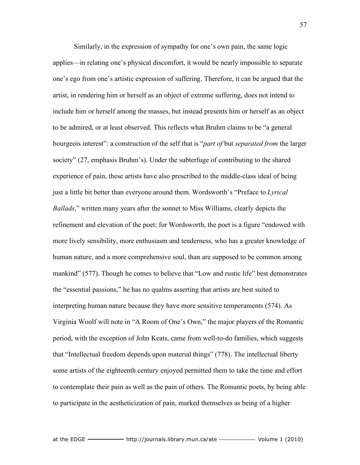Similarly, in the expression of sympathy for one's own pain, the same logic applies—in relating one's physical discomfort, it would be nearly impossible to separate one's ego from one's artistic expression of suffering. Therefore, it can be argued that the artist, in rendering him or herself as an object of extreme suffering, does not intend to include him or herself among the masses, but instead presents him or herself as an object to be admired, or at least observed. This reflects what Bruhm claims to be "a general bourgeois interest": a construction of the self that is "*part of* but *separated from* the larger society" (27, emphasis Bruhm's). Under the subterfuge of contributing to the shared experience of pain, these artists have also prescribed to the middle-class ideal of being just a little bit better than everyone around them. Wordsworth's "Preface to *Lyrical Ballads*," written many years after the sonnet to Miss Williams, clearly depicts the refinement and elevation of the poet; for Wordsworth, the poet is a figure "endowed with more lively sensibility, more enthusiasm and tenderness, who has a greater knowledge of human nature, and a more comprehensive soul, than are supposed to be common among mankind" (577). Though he comes to believe that "Low and rustic life" best demonstrates the "essential passions," he has no qualms asserting that artists are best suited to interpreting human nature because they have more sensitive temperaments (574). As Virginia Woolf will note in "A Room of One's Own," the major players of the Romantic period, with the exception of John Keats, came from well-to-do families, which suggests that "Intellectual freedom depends upon material things" (778). The intellectual liberty some artists of the eighteenth century enjoyed permitted them to take the time and effort to contemplate their pain as well as the pain of others. The Romantic poets, by being able to participate in the aestheticization of pain, marked themselves as being of a higher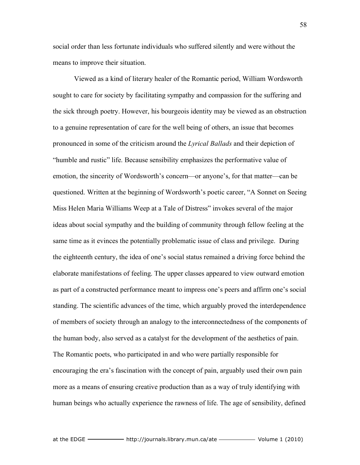social order than less fortunate individuals who suffered silently and were without the means to improve their situation.

Viewed as a kind of literary healer of the Romantic period, William Wordsworth sought to care for society by facilitating sympathy and compassion for the suffering and the sick through poetry. However, his bourgeois identity may be viewed as an obstruction to a genuine representation of care for the well being of others, an issue that becomes pronounced in some of the criticism around the *Lyrical Ballads* and their depiction of "humble and rustic" life. Because sensibility emphasizes the performative value of emotion, the sincerity of Wordsworth's concern—or anyone's, for that matter—can be questioned. Written at the beginning of Wordsworth's poetic career, "A Sonnet on Seeing Miss Helen Maria Williams Weep at a Tale of Distress" invokes several of the major ideas about social sympathy and the building of community through fellow feeling at the same time as it evinces the potentially problematic issue of class and privilege. During the eighteenth century, the idea of one's social status remained a driving force behind the elaborate manifestations of feeling. The upper classes appeared to view outward emotion as part of a constructed performance meant to impress one's peers and affirm one's social standing. The scientific advances of the time, which arguably proved the interdependence of members of society through an analogy to the interconnectedness of the components of the human body, also served as a catalyst for the development of the aesthetics of pain. The Romantic poets, who participated in and who were partially responsible for encouraging the era's fascination with the concept of pain, arguably used their own pain more as a means of ensuring creative production than as a way of truly identifying with human beings who actually experience the rawness of life. The age of sensibility, defined

58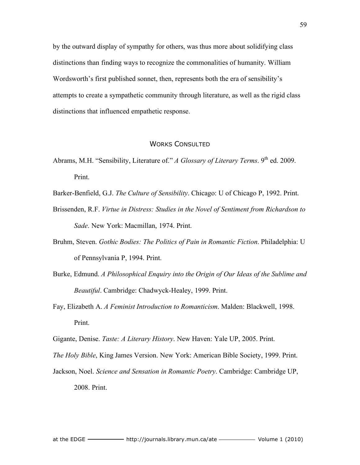by the outward display of sympathy for others, was thus more about solidifying class distinctions than finding ways to recognize the commonalities of humanity. William Wordsworth's first published sonnet, then, represents both the era of sensibility's attempts to create a sympathetic community through literature, as well as the rigid class distinctions that influenced empathetic response.

## WORKS CONSULTED

Abrams, M.H. "Sensibility, Literature of." *A Glossary of Literary Terms*. 9<sup>th</sup> ed. 2009. Print.

Barker-Benfield, G.J. *The Culture of Sensibility*. Chicago: U of Chicago P, 1992. Print.

- Brissenden, R.F. *Virtue in Distress: Studies in the Novel of Sentiment from Richardson to Sade*. New York: Macmillan, 1974. Print.
- Bruhm, Steven. *Gothic Bodies: The Politics of Pain in Romantic Fiction*. Philadelphia: U of Pennsylvania P, 1994. Print.
- Burke, Edmund. *A Philosophical Enquiry into the Origin of Our Ideas of the Sublime and Beautiful*. Cambridge: Chadwyck-Healey, 1999. Print.
- Fay, Elizabeth A. *A Feminist Introduction to Romanticism*. Malden: Blackwell, 1998. Print.

Gigante, Denise. *Taste: A Literary History*. New Haven: Yale UP, 2005. Print.

*The Holy Bible*, King James Version. New York: American Bible Society, 1999. Print.

Jackson, Noel. *Science and Sensation in Romantic Poetry*. Cambridge: Cambridge UP, 2008. Print.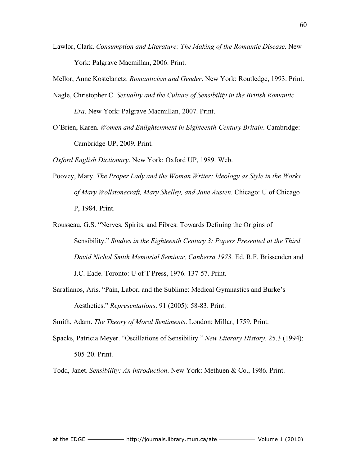Lawlor, Clark. *Consumption and Literature: The Making of the Romantic Disease*. New York: Palgrave Macmillan, 2006. Print.

Mellor, Anne Kostelanetz. *Romanticism and Gender*. New York: Routledge, 1993. Print.

- Nagle, Christopher C. *Sexuality and the Culture of Sensibility in the British Romantic Era*. New York: Palgrave Macmillan, 2007. Print.
- O'Brien, Karen. *Women and Enlightenment in Eighteenth-Century Britain*. Cambridge: Cambridge UP, 2009. Print.

*Oxford English Dictionary*. New York: Oxford UP, 1989. Web.

- Poovey, Mary. *The Proper Lady and the Woman Writer: Ideology as Style in the Works of Mary Wollstonecraft, Mary Shelley, and Jane Austen*. Chicago: U of Chicago P, 1984. Print.
- Rousseau, G.S. "Nerves, Spirits, and Fibres: Towards Defining the Origins of Sensibility." *Studies in the Eighteenth Century 3: Papers Presented at the Third David Nichol Smith Memorial Seminar, Canberra 1973.* Ed. R.F. Brissenden and J.C. Eade. Toronto: U of T Press, 1976. 137-57. Print.
- Sarafianos, Aris. "Pain, Labor, and the Sublime: Medical Gymnastics and Burke's Aesthetics." *Representations*. 91 (2005): 58-83. Print.

Smith, Adam. *The Theory of Moral Sentiments*. London: Millar, 1759. Print.

Spacks, Patricia Meyer. "Oscillations of Sensibility." *New Literary History*. 25.3 (1994): 505-20. Print.

Todd, Janet. *Sensibility: An introduction*. New York: Methuen & Co., 1986. Print.